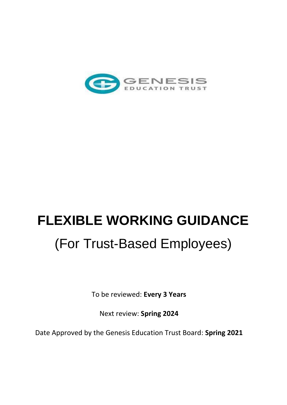

# **FLEXIBLE WORKING GUIDANCE** (For Trust-Based Employees)

To be reviewed: **Every 3 Years**

Next review: **Spring 2024**

Date Approved by the Genesis Education Trust Board: **Spring 2021**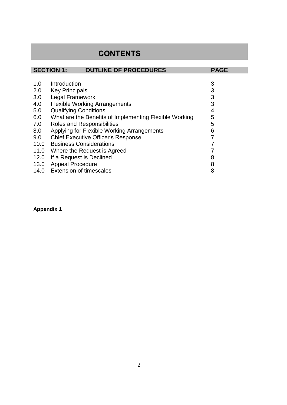# **CONTENTS**

|      | <b>SECTION 1:</b><br><b>OUTLINE OF PROCEDURES</b>      | <b>PAGE</b> |
|------|--------------------------------------------------------|-------------|
|      |                                                        |             |
| 1.0  | Introduction                                           | 3           |
| 2.0  | <b>Key Principals</b>                                  | 3           |
| 3.0  | Legal Framework                                        | 3           |
| 4.0  | <b>Flexible Working Arrangements</b>                   | 3           |
| 5.0  | <b>Qualifying Conditions</b>                           | 4           |
| 6.0  | What are the Benefits of Implementing Flexible Working | 5           |
| 7.0  | <b>Roles and Responsibilities</b>                      | 5           |
| 8.0  | Applying for Flexible Working Arrangements             | 6           |
| 9.0  | <b>Chief Executive Officer's Response</b>              | 7           |
|      | 10.0 Business Considerations                           |             |
| 11.0 | Where the Request is Agreed                            |             |
| 12.0 | If a Request is Declined                               | 8           |
| 13.0 | <b>Appeal Procedure</b>                                | 8           |
| 14.0 | <b>Extension of timescales</b>                         | 8           |

# **Appendix 1**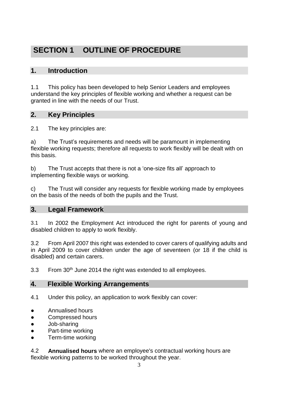# **SECTION 1 OUTLINE OF PROCEDURE**

# **1. Introduction**

1.1 This policy has been developed to help Senior Leaders and employees understand the key principles of flexible working and whether a request can be granted in line with the needs of our Trust.

# **2. Key Principles**

2.1 The key principles are:

a) The Trust's requirements and needs will be paramount in implementing flexible working requests; therefore all requests to work flexibly will be dealt with on this basis.

b) The Trust accepts that there is not a 'one-size fits all' approach to implementing flexible ways or working.

c) The Trust will consider any requests for flexible working made by employees on the basis of the needs of both the pupils and the Trust.

### **3. Legal Framework**

3.1 In 2002 the Employment Act introduced the right for parents of young and disabled children to apply to work flexibly.

3.2 From April 2007 this right was extended to cover carers of qualifying adults and in April 2009 to cover children under the age of seventeen (or 18 if the child is disabled) and certain carers.

3.3 From 30<sup>th</sup> June 2014 the right was extended to all employees.

### **4. Flexible Working Arrangements**

4.1 Under this policy, an application to work flexibly can cover:

- Annualised hours
- Compressed hours
- Job-sharing
- Part-time working
- Term-time working

4.2 **Annualised hours** where an employee's contractual working hours are flexible working patterns to be worked throughout the year.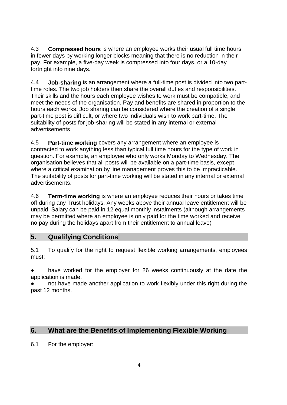4.3 **Compressed hours** is where an employee works their usual full time hours in fewer days by working longer blocks meaning that there is no reduction in their pay. For example, a five-day week is compressed into four days, or a 10-day fortnight into nine days.

4.4 **Job-sharing** is an arrangement where a full-time post is divided into two parttime roles. The two job holders then share the overall duties and responsibilities. Their skills and the hours each employee wishes to work must be compatible, and meet the needs of the organisation. Pay and benefits are shared in proportion to the hours each works. Job sharing can be considered where the creation of a single part-time post is difficult, or where two individuals wish to work part-time. The suitability of posts for job-sharing will be stated in any internal or external advertisements

4.5 **Part-time working** covers any arrangement where an employee is contracted to work anything less than typical full time hours for the type of work in question. For example, an employee who only works Monday to Wednesday. The organisation believes that all posts will be available on a part-time basis, except where a critical examination by line management proves this to be impracticable. The suitability of posts for part-time working will be stated in any internal or external advertisements.

4.6 **Term-time working** is where an employee reduces their hours or takes time off during any Trust holidays. Any weeks above their annual leave entitlement will be unpaid. Salary can be paid in 12 equal monthly instalments (although arrangements may be permitted where an employee is only paid for the time worked and receive no pay during the holidays apart from their entitlement to annual leave)

### **5. Qualifying Conditions**

5.1 To qualify for the right to request flexible working arrangements, employees must:

have worked for the employer for 26 weeks continuously at the date the application is made.

not have made another application to work flexibly under this right during the past 12 months.

# **6. What are the Benefits of Implementing Flexible Working**

6.1 For the employer: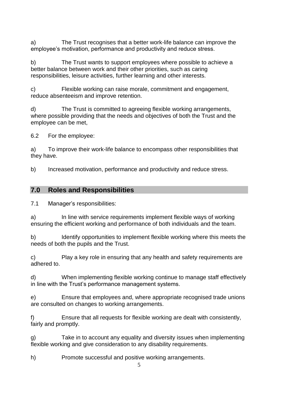a) The Trust recognises that a better work-life balance can improve the employee's motivation, performance and productivity and reduce stress.

b) The Trust wants to support employees where possible to achieve a better balance between work and their other priorities, such as caring responsibilities, leisure activities, further learning and other interests.

c) Flexible working can raise morale, commitment and engagement, reduce absenteeism and improve retention.

d) The Trust is committed to agreeing flexible working arrangements, where possible providing that the needs and objectives of both the Trust and the employee can be met,

6.2 For the employee:

a) To improve their work-life balance to encompass other responsibilities that they have.

b) Increased motivation, performance and productivity and reduce stress.

## **7.0 Roles and Responsibilities**

7.1 Manager's responsibilities:

a) In line with service requirements implement flexible ways of working ensuring the efficient working and performance of both individuals and the team.

b) Identify opportunities to implement flexible working where this meets the needs of both the pupils and the Trust.

c) Play a key role in ensuring that any health and safety requirements are adhered to.

d) When implementing flexible working continue to manage staff effectively in line with the Trust's performance management systems.

e) Ensure that employees and, where appropriate recognised trade unions are consulted on changes to working arrangements.

f) Ensure that all requests for flexible working are dealt with consistently, fairly and promptly.

g) Take in to account any equality and diversity issues when implementing flexible working and give consideration to any disability requirements.

h) Promote successful and positive working arrangements.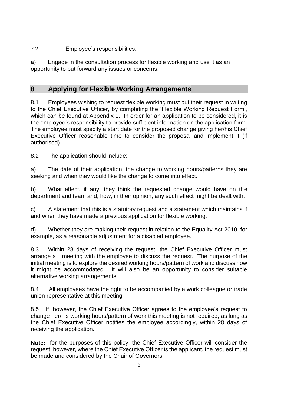7.2 Employee's responsibilities:

a) Engage in the consultation process for flexible working and use it as an opportunity to put forward any issues or concerns.

# **8 Applying for Flexible Working Arrangements**

8.1 Employees wishing to request flexible working must put their request in writing to the Chief Executive Officer, by completing the 'Flexible Working Request Form', which can be found at Appendix 1. In order for an application to be considered, it is the employee's responsibility to provide sufficient information on the application form. The employee must specify a start date for the proposed change giving her/his Chief Executive Officer reasonable time to consider the proposal and implement it (if authorised).

8.2 The application should include:

a) The date of their application, the change to working hours/patterns they are seeking and when they would like the change to come into effect.

b) What effect, if any, they think the requested change would have on the department and team and, how, in their opinion, any such effect might be dealt with.

c) A statement that this is a statutory request and a statement which maintains if and when they have made a previous application for flexible working.

d) Whether they are making their request in relation to the Equality Act 2010, for example, as a reasonable adjustment for a disabled employee.

8.3 Within 28 days of receiving the request, the Chief Executive Officer must arrange a meeting with the employee to discuss the request. The purpose of the initial meeting is to explore the desired working hours/pattern of work and discuss how it might be accommodated. It will also be an opportunity to consider suitable alternative working arrangements.

8.4 All employees have the right to be accompanied by a work colleague or trade union representative at this meeting.

8.5 If, however, the Chief Executive Officer agrees to the employee's request to change her/his working hours/pattern of work this meeting is not required, as long as the Chief Executive Officer notifies the employee accordingly, within 28 days of receiving the application.

**Note:** for the purposes of this policy, the Chief Executive Officer will consider the request; however, where the Chief Executive Officer is the applicant, the request must be made and considered by the Chair of Governors.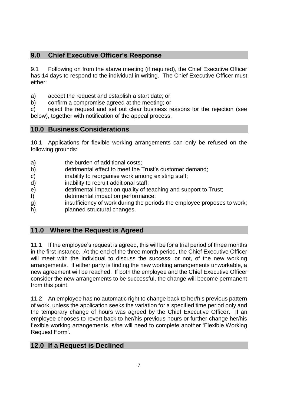# **9.0 Chief Executive Officer's Response**

9.1 Following on from the above meeting (if required), the Chief Executive Officer has 14 days to respond to the individual in writing. The Chief Executive Officer must either:

a) accept the request and establish a start date; or

b) confirm a compromise agreed at the meeting; or

c) reject the request and set out clear business reasons for the rejection (see below), together with notification of the appeal process.

### **10.0 Business Considerations**

10.1 Applications for flexible working arrangements can only be refused on the following grounds:

- a) the burden of additional costs;
- b) detrimental effect to meet the Trust's customer demand;
- c) inability to reorganise work among existing staff;
- d) inability to recruit additional staff;
- e) detrimental impact on quality of teaching and support to Trust;
- f) detrimental impact on performance;
- g) insufficiency of work during the periods the employee proposes to work;
- h) planned structural changes.

### **11.0 Where the Request is Agreed**

11.1 If the employee's request is agreed, this will be for a trial period of three months in the first instance. At the end of the three month period, the Chief Executive Officer will meet with the individual to discuss the success, or not, of the new working arrangements. If either party is finding the new working arrangements unworkable, a new agreement will be reached. If both the employee and the Chief Executive Officer consider the new arrangements to be successful, the change will become permanent from this point.

11.2 An employee has no automatic right to change back to her/his previous pattern of work, unless the application seeks the variation for a specified time period only and the temporary change of hours was agreed by the Chief Executive Officer. If an employee chooses to revert back to her/his previous hours or further change her/his flexible working arrangements, s/he will need to complete another 'Flexible Working Request Form'.

# **12.0 If a Request is Declined**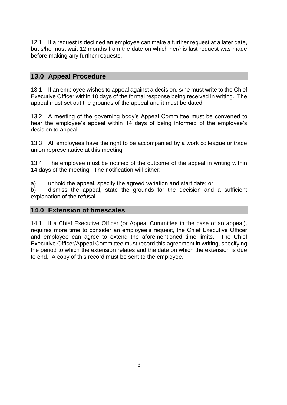12.1 If a request is declined an employee can make a further request at a later date, but s/he must wait 12 months from the date on which her/his last request was made before making any further requests.

## **13.0 Appeal Procedure**

13.1 If an employee wishes to appeal against a decision, s/he must write to the Chief Executive Officer within 10 days of the formal response being received in writing. The appeal must set out the grounds of the appeal and it must be dated.

13.2 A meeting of the governing body's Appeal Committee must be convened to hear the employee's appeal within 14 days of being informed of the employee's decision to appeal.

13.3 All employees have the right to be accompanied by a work colleague or trade union representative at this meeting

13.4 The employee must be notified of the outcome of the appeal in writing within 14 days of the meeting. The notification will either:

a) uphold the appeal, specify the agreed variation and start date; or

b) dismiss the appeal, state the grounds for the decision and a sufficient explanation of the refusal.

### **14.0 Extension of timescales**

14.1 If a Chief Executive Officer (or Appeal Committee in the case of an appeal), requires more time to consider an employee's request, the Chief Executive Officer and employee can agree to extend the aforementioned time limits. The Chief Executive Officer/Appeal Committee must record this agreement in writing, specifying the period to which the extension relates and the date on which the extension is due to end. A copy of this record must be sent to the employee.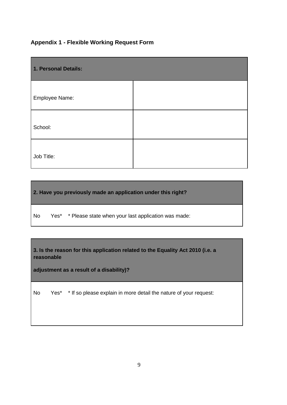#### **Appendix 1 - Flexible Working Request Form**

| 1. Personal Details: |  |  |  |
|----------------------|--|--|--|
| Employee Name:       |  |  |  |
| School:              |  |  |  |
| Job Title:           |  |  |  |

**2. Have you previously made an application under this right?**

No Yes\* \* Please state when your last application was made:

**3. Is the reason for this application related to the Equality Act 2010 (i.e. a reasonable**

**adjustment as a result of a disability)?**

No Yes\* \* If so please explain in more detail the nature of your request: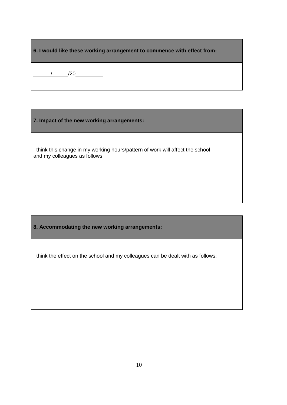| 6. I would like these working arrangement to commence with effect from: |
|-------------------------------------------------------------------------|
|-------------------------------------------------------------------------|

/ /20

**7. Impact of the new working arrangements:**

I think this change in my working hours/pattern of work will affect the school and my colleagues as follows:

**8. Accommodating the new working arrangements:**

I think the effect on the school and my colleagues can be dealt with as follows: